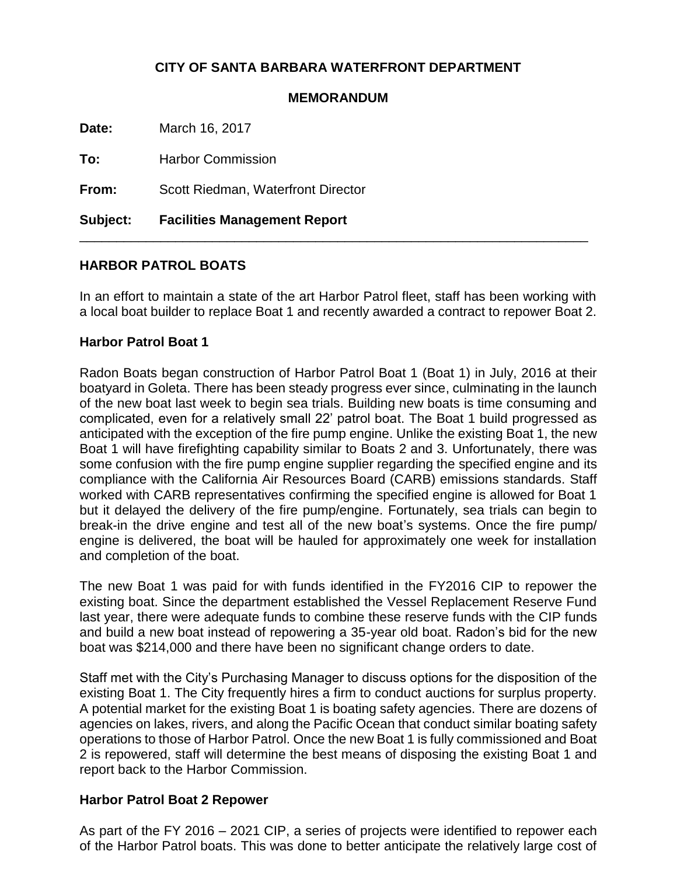# **CITY OF SANTA BARBARA WATERFRONT DEPARTMENT**

#### **MEMORANDUM**

**Date:** March 16, 2017

**To:** Harbor Commission

**From:** Scott Riedman, Waterfront Director

**Subject: Facilities Management Report**

## **HARBOR PATROL BOATS**

In an effort to maintain a state of the art Harbor Patrol fleet, staff has been working with a local boat builder to replace Boat 1 and recently awarded a contract to repower Boat 2.

\_\_\_\_\_\_\_\_\_\_\_\_\_\_\_\_\_\_\_\_\_\_\_\_\_\_\_\_\_\_\_\_\_\_\_\_\_\_\_\_\_\_\_\_\_\_\_\_\_\_\_\_\_\_\_\_\_\_\_\_\_\_\_\_\_\_\_\_\_

### **Harbor Patrol Boat 1**

Radon Boats began construction of Harbor Patrol Boat 1 (Boat 1) in July, 2016 at their boatyard in Goleta. There has been steady progress ever since, culminating in the launch of the new boat last week to begin sea trials. Building new boats is time consuming and complicated, even for a relatively small 22' patrol boat. The Boat 1 build progressed as anticipated with the exception of the fire pump engine. Unlike the existing Boat 1, the new Boat 1 will have firefighting capability similar to Boats 2 and 3. Unfortunately, there was some confusion with the fire pump engine supplier regarding the specified engine and its compliance with the California Air Resources Board (CARB) emissions standards. Staff worked with CARB representatives confirming the specified engine is allowed for Boat 1 but it delayed the delivery of the fire pump/engine. Fortunately, sea trials can begin to break-in the drive engine and test all of the new boat's systems. Once the fire pump/ engine is delivered, the boat will be hauled for approximately one week for installation and completion of the boat.

The new Boat 1 was paid for with funds identified in the FY2016 CIP to repower the existing boat. Since the department established the Vessel Replacement Reserve Fund last year, there were adequate funds to combine these reserve funds with the CIP funds and build a new boat instead of repowering a 35-year old boat. Radon's bid for the new boat was \$214,000 and there have been no significant change orders to date.

Staff met with the City's Purchasing Manager to discuss options for the disposition of the existing Boat 1. The City frequently hires a firm to conduct auctions for surplus property. A potential market for the existing Boat 1 is boating safety agencies. There are dozens of agencies on lakes, rivers, and along the Pacific Ocean that conduct similar boating safety operations to those of Harbor Patrol. Once the new Boat 1 is fully commissioned and Boat 2 is repowered, staff will determine the best means of disposing the existing Boat 1 and report back to the Harbor Commission.

## **Harbor Patrol Boat 2 Repower**

As part of the FY 2016 – 2021 CIP, a series of projects were identified to repower each of the Harbor Patrol boats. This was done to better anticipate the relatively large cost of